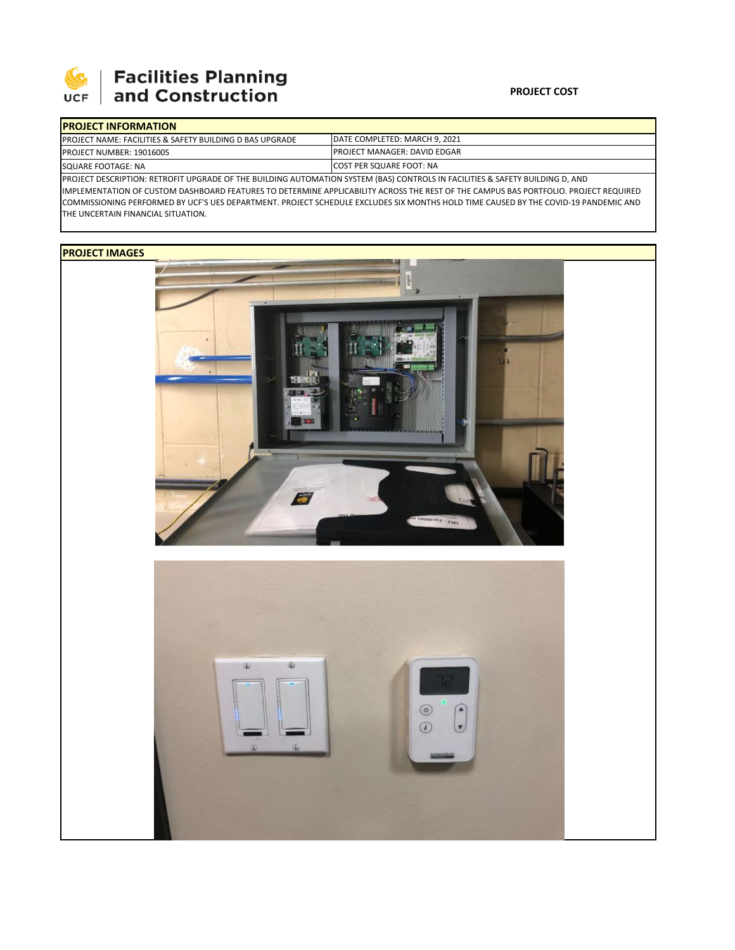

# | Facilities Planning<br>| and Construction

### **PROJECT COST**

|                                                                                                                                             | <b>IPROJECT INFORMATION</b>                                          |                                                                       |  |  |  |
|---------------------------------------------------------------------------------------------------------------------------------------------|----------------------------------------------------------------------|-----------------------------------------------------------------------|--|--|--|
|                                                                                                                                             | <b>IPROJECT NAME: FACILITIES &amp; SAFETY BUILDING D BAS UPGRADE</b> | DATE COMPLETED: MARCH 9, 2021<br><b>IPROJECT MANAGER: DAVID EDGAR</b> |  |  |  |
|                                                                                                                                             | <b>PROJECT NUMBER: 19016005</b>                                      |                                                                       |  |  |  |
| SQUARE FOOTAGE: NA                                                                                                                          |                                                                      | COST PER SQUARE FOOT: NA                                              |  |  |  |
| <b>IPROJECT DESCRIPTION: RETROEIT LIPGRADE OF THE RUILDING ALITOMATION SYSTEM (RAS) CONTROLS IN FACILITIES &amp; SAFETY RUILDING D. AND</b> |                                                                      |                                                                       |  |  |  |

TIOMATION SYSTEM (BA IMPLEMENTATION OF CUSTOM DASHBOARD FEATURES TO DETERMINE APPLICABILITY ACROSS THE REST OF THE CAMPUS BAS PORTFOLIO. PROJECT REQUIRED COMMISSIONING PERFORMED BY UCF'S UES DEPARTMENT. PROJECT SCHEDULE EXCLUDES SIX MONTHS HOLD TIME CAUSED BY THE COVID‐19 PANDEMIC AND THE UNCERTAIN FINANCIAL SITUATION.

## **PROJECT IMAGES**